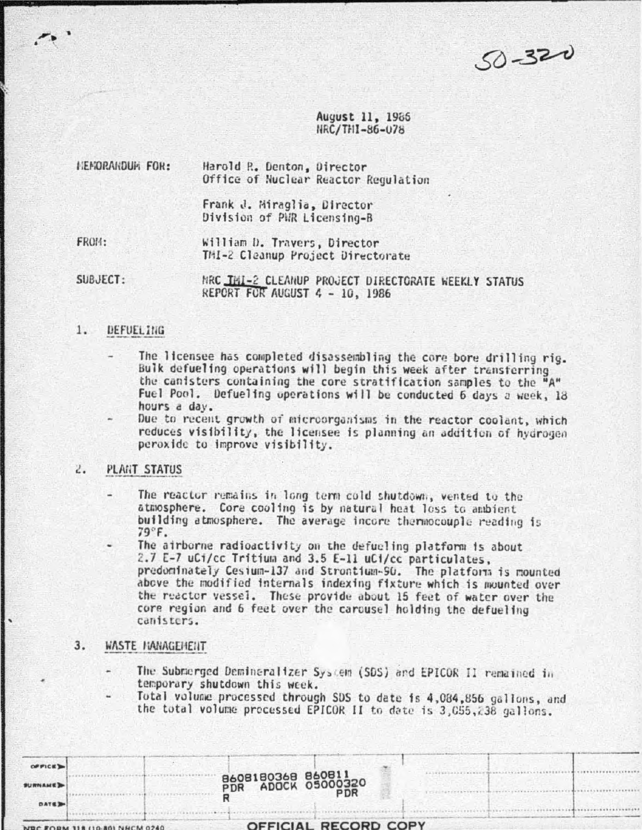$50 - 320$ 

 $1111111111111$ ..........

August 11, 1986 NRC/THI-86-078

| <b>NEMORANDUM FOR:</b> | Harold R. Denton, Director<br>Office of Nuclear Reactor Regulation |
|------------------------|--------------------------------------------------------------------|
|                        | Frank J. Miraglia, Director<br>Division of PWR Licensing-B         |
| FROM:                  | William D. Travers, Director                                       |

TMI-2 Cleanup Project Directorate

SUBJECT: MRC THI-2 CLEANUP PROJECT DIRECTORATE WEEKLY STATUS REPORT FOR AUGUST 4 - 10, 1986

### $1.$ DEFUELING

- The licensee has completed disassembling the core bore drilling rig. Bulk defueling operations will begin this week after transferring the canisters containing the core stratification samples to the " Fuel Pool. Defueling operations will be conducted 6 days a week, 18 hours a day.
- Due to recent growth of microorganisms in the reactor coolent, which reduces visibility, the licensee is planning an addition of hydrogen peroxide to improve visibility.

### **PLANT STATUS**  $\mathcal{L}_{\bullet}$

- The reactor remains in long term cold shutdown, vented to the atmosphere. Core cooling is by natural heat loss to ambient building atmosphere. The average incore thermocouple reading is  $79^\circ$ F.
- The airborne radioactivity on the defueling platform is about 2.7 E-7 uCi/cc Tritium and 3.5 E-11 uCi/cc particulates, predominately Cesium-137 and Strontium-90. The platform is mounted above the modified internals indexing fixture which is mounted over the reactor vessel. These provide about 15 feet of water over the core region and 6 feet over the carousel holding the defueling canisters.
- $3.$ WASTE MANAGEMENT
	- The Submerged Demineralizer System (SDS) and EPICOR II remained in temporary shutdown this week.
	- Total volume processed through SDS to date is 4,084,856 gallons, and the total volume precessed EPICOR II to date is 3,055,238 gallons.

| OF FICE        |                                       |                                         |                      |  |  |
|----------------|---------------------------------------|-----------------------------------------|----------------------|--|--|
| <b>SURNAME</b> |                                       | B608180368 860811<br>PDR ADOCK 05000320 | <b>PDR</b>           |  |  |
| <b>DATE</b>    |                                       |                                         |                      |  |  |
|                | <b>NBC FORM 118 (10-80) NHCM 0240</b> |                                         | OFFICIAL RECORD COPY |  |  |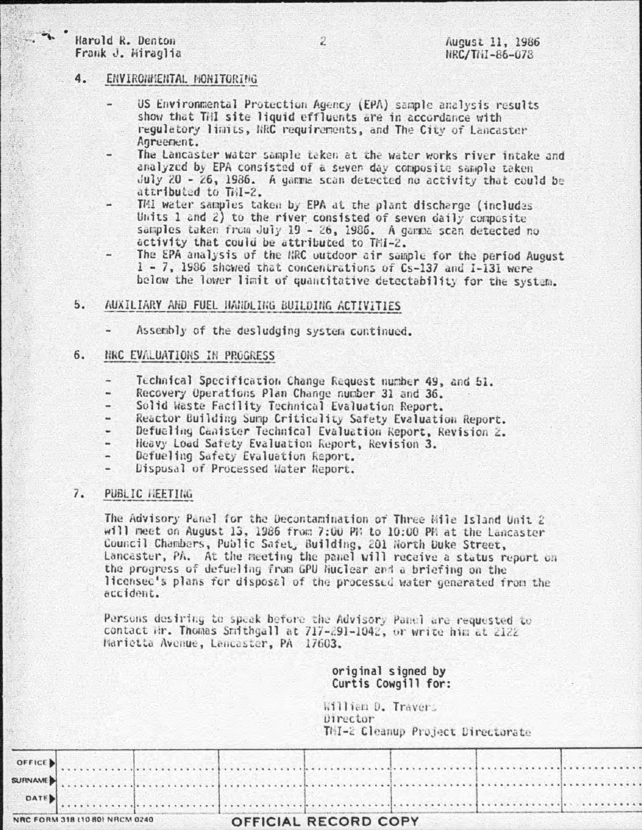# Harold R. Denton Frank J. Hiraglia

# August 11, 1986 NRC/TNI-86-078

### $4.$ ENVIRONMENTAL MONITORING

- US Environmental Protection Agency (EPA) sample analysis results show that THI site liquid effluents are in accordance with regulatory limits, NRC requirements, and The City of Lancaster Agreement.
- The Lancaster water sample taken at the water works river intake and analyzed by EPA consisted of a seven day composite sample taken  $July$  20 - 26, 1986. A gamme scan detected no activity that could be attributed to TAI-2.
- TMI water samples taken by EPA at the plant discharge (includes Units 1 and 2) to the river consisted of seven daily composite samples taken from July 19 - 26, 1986. A gamma scan detected no activity that could be attributed to THI-2.
- The EPA analysis of the NRC outdoor air sample for the period August 1 - 7, 1986 showed that concentrations of Cs-137 and I-131 were below the lower limit of quantitative detectability for the system.
- $5.$ AUXILIARY AND FUEL HANDLING BUILDING ACTIVITIES
	- Assembly of the desludging system continued.

### NRC EVALUATIONS IN PROGRESS  $6.$

- Technical Specification Change Request number 49, and 51.
- Recovery Operations Plan Change number 31 and 36.
- Solid Waste Facility Technical Evaluation Report.  $\overline{\phantom{a}}$
- Reactor Building Sump Criticality Safety Evaluation Report.
- Defueling Canister Technical Evaluation Report, Revision 2.
- Heavy Load Safety Evaluation Report, Revision 3.
- Defueling Safety Evaluation Report.  $\overline{\phantom{0}}$
- Dispusal of Processed Water Report.

#### $7.$ PUBLIC HEETING

The Advisory Panel for the Decontamination of Three Mile Island Unit 2 will meet on August 13, 1986 from 7:00 PM to 10:00 PM at the Lancaster Council Chambers, Public Safet, Building, 201 North Duke Street, Lancaster, PA. At the meeting the panel will receive a status report on the progress of defueling from GPU Nuclear and a briefing on the licensec's plans for disposal of the processed water generated from the accident.

Persons desiring to speak before the Advisory Panel are requested to contact Mr. Thomas Smithgall at 717-291-1042, or write him at 2122 Marietta Avenue, Lancaster, PA 17603.

> original signed by Curtis Cowgill for:

William D. Travers Director TMI-2 Cleanup Project Directorate

|  |  |  |  |  | OFFICE ) |
|--|--|--|--|--|----------|